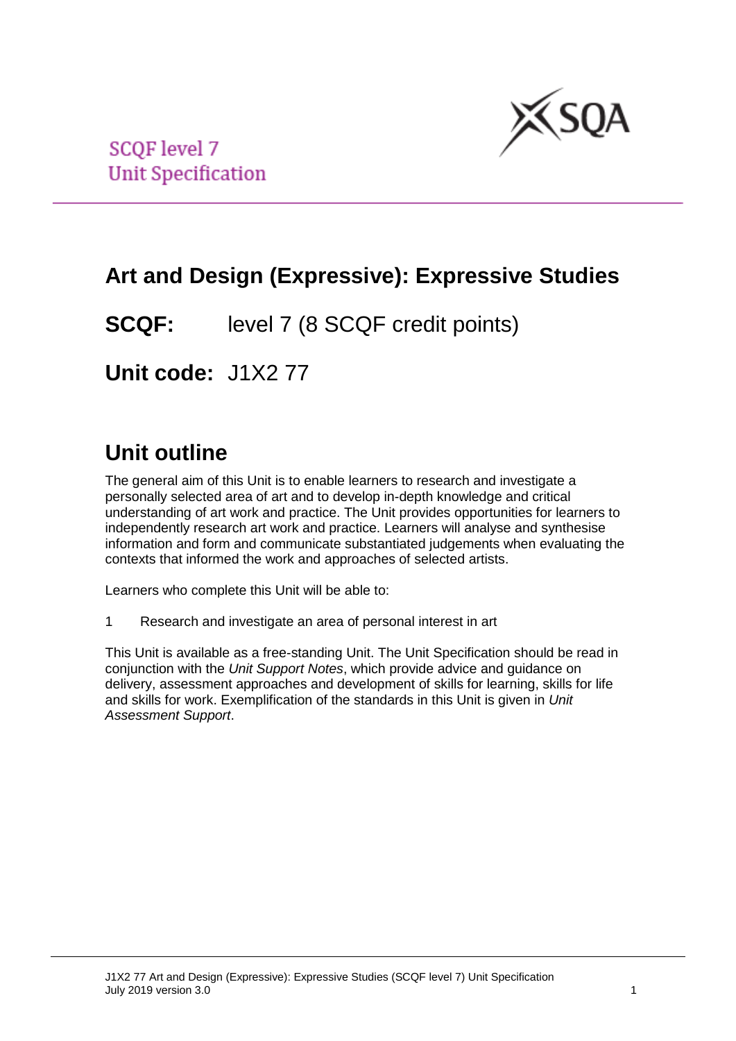

**SCQF** level 7 **Unit Specification** 

# **Art and Design (Expressive): Expressive Studies**

**SCQF:** level 7 (8 SCQF credit points)

**Unit code:** J1X2 77

# **Unit outline**

The general aim of this Unit is to enable learners to research and investigate a personally selected area of art and to develop in-depth knowledge and critical understanding of art work and practice. The Unit provides opportunities for learners to independently research art work and practice. Learners will analyse and synthesise information and form and communicate substantiated judgements when evaluating the contexts that informed the work and approaches of selected artists.

Learners who complete this Unit will be able to:

1 Research and investigate an area of personal interest in art

This Unit is available as a free-standing Unit. The Unit Specification should be read in conjunction with the *Unit Support Notes*, which provide advice and guidance on delivery, assessment approaches and development of skills for learning, skills for life and skills for work. Exemplification of the standards in this Unit is given in *Unit Assessment Support*.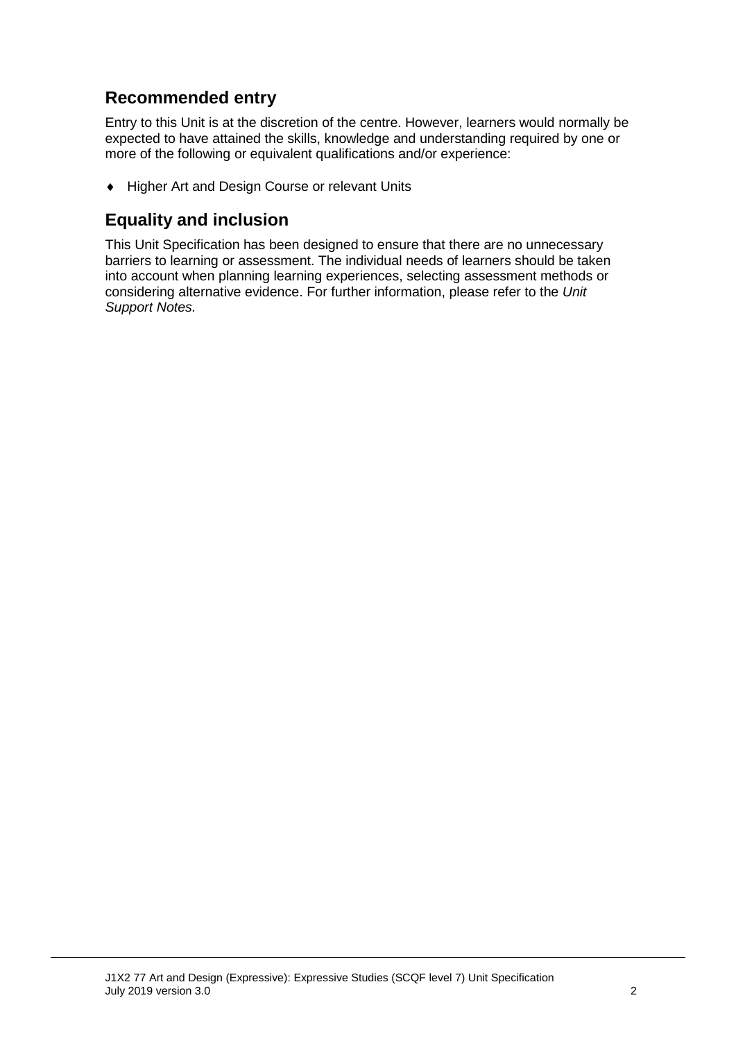## **Recommended entry**

Entry to this Unit is at the discretion of the centre. However, learners would normally be expected to have attained the skills, knowledge and understanding required by one or more of the following or equivalent qualifications and/or experience:

♦ Higher Art and Design Course or relevant Units

### **Equality and inclusion**

This Unit Specification has been designed to ensure that there are no unnecessary barriers to learning or assessment. The individual needs of learners should be taken into account when planning learning experiences, selecting assessment methods or considering alternative evidence. For further information, please refer to the *Unit Support Notes.*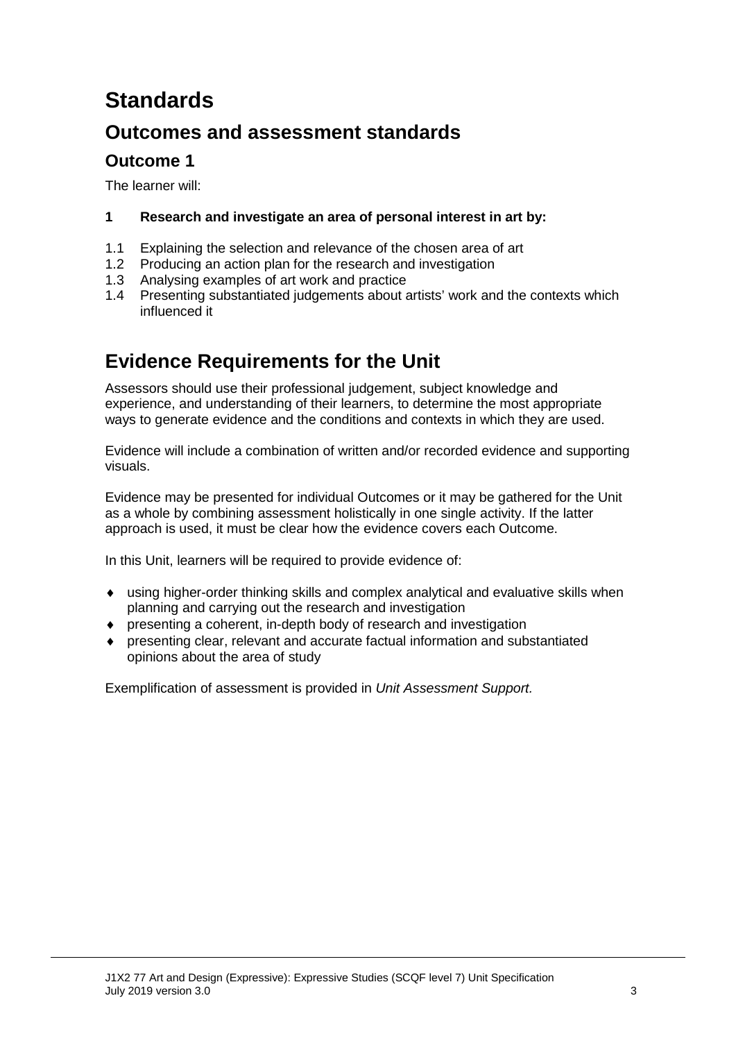# **Standards**

## **Outcomes and assessment standards**

### **Outcome 1**

The learner will:

#### **1 Research and investigate an area of personal interest in art by:**

- 1.1 Explaining the selection and relevance of the chosen area of art
- 1.2 Producing an action plan for the research and investigation
- 1.3 Analysing examples of art work and practice
- 1.4 Presenting substantiated judgements about artists' work and the contexts which influenced it

## **Evidence Requirements for the Unit**

Assessors should use their professional judgement, subject knowledge and experience, and understanding of their learners, to determine the most appropriate ways to generate evidence and the conditions and contexts in which they are used.

Evidence will include a combination of written and/or recorded evidence and supporting visuals.

Evidence may be presented for individual Outcomes or it may be gathered for the Unit as a whole by combining assessment holistically in one single activity. If the latter approach is used, it must be clear how the evidence covers each Outcome.

In this Unit, learners will be required to provide evidence of:

- using higher-order thinking skills and complex analytical and evaluative skills when planning and carrying out the research and investigation
- ♦ presenting a coherent, in-depth body of research and investigation
- ♦ presenting clear, relevant and accurate factual information and substantiated opinions about the area of study

Exemplification of assessment is provided in *Unit Assessment Support.*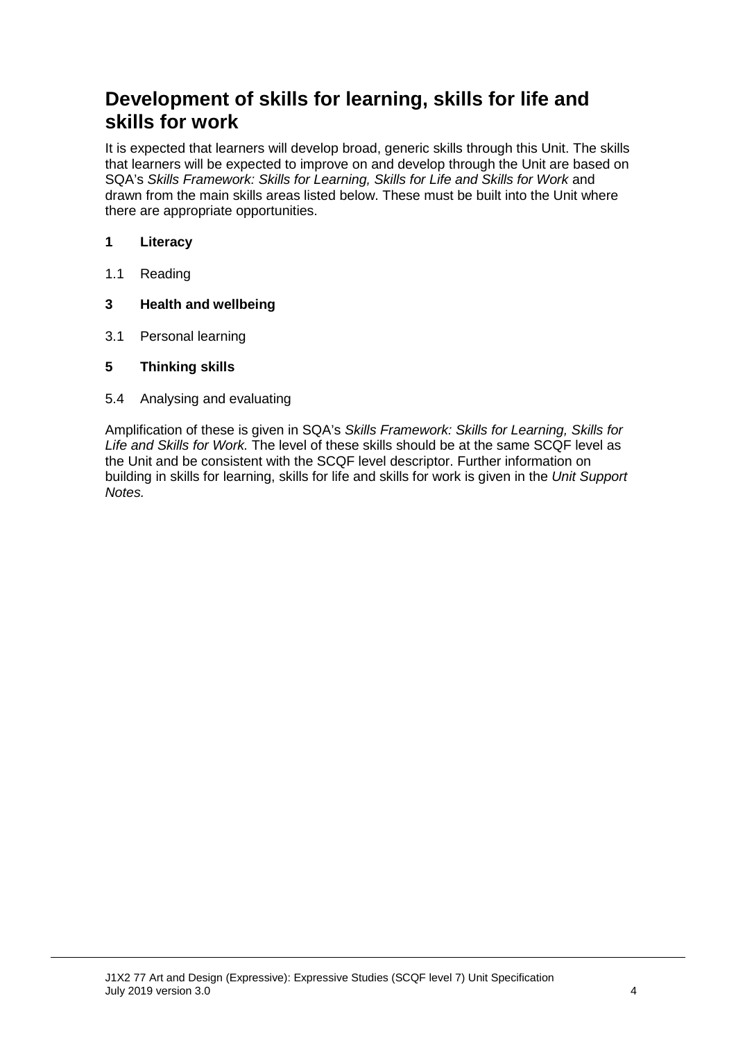## **Development of skills for learning, skills for life and skills for work**

It is expected that learners will develop broad, generic skills through this Unit. The skills that learners will be expected to improve on and develop through the Unit are based on SQA's *Skills Framework: Skills for Learning, Skills for Life and Skills for Work* and drawn from the main skills areas listed below. These must be built into the Unit where there are appropriate opportunities.

#### **1 Literacy**

1.1 Reading

#### **3 Health and wellbeing**

- 3.1 Personal learning
- **5 Thinking skills**
- 5.4 Analysing and evaluating

Amplification of these is given in SQA's *Skills Framework: Skills for Learning, Skills for Life and Skills for Work.* The level of these skills should be at the same SCQF level as the Unit and be consistent with the SCQF level descriptor. Further information on building in skills for learning, skills for life and skills for work is given in the *Unit Support Notes.*